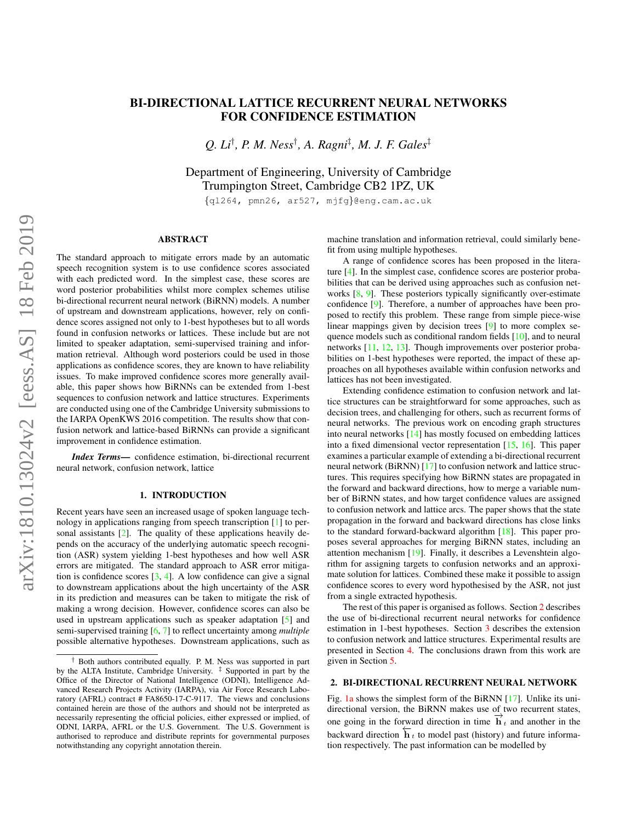# <span id="page-0-1"></span>BI-DIRECTIONAL LATTICE RECURRENT NEURAL NETWORKS FOR CONFIDENCE ESTIMATION

*Q. Li*† *, P. M. Ness*† *, A. Ragni*‡ *, M. J. F. Gales*‡

Department of Engineering, University of Cambridge Trumpington Street, Cambridge CB2 1PZ, UK

{ql264, pmn26, ar527, mjfg}@eng.cam.ac.uk

## ABSTRACT

The standard approach to mitigate errors made by an automatic speech recognition system is to use confidence scores associated with each predicted word. In the simplest case, these scores are word posterior probabilities whilst more complex schemes utilise bi-directional recurrent neural network (BiRNN) models. A number of upstream and downstream applications, however, rely on confidence scores assigned not only to 1-best hypotheses but to all words found in confusion networks or lattices. These include but are not limited to speaker adaptation, semi-supervised training and information retrieval. Although word posteriors could be used in those applications as confidence scores, they are known to have reliability issues. To make improved confidence scores more generally available, this paper shows how BiRNNs can be extended from 1-best sequences to confusion network and lattice structures. Experiments are conducted using one of the Cambridge University submissions to the IARPA OpenKWS 2016 competition. The results show that confusion network and lattice-based BiRNNs can provide a significant improvement in confidence estimation.

*Index Terms*— confidence estimation, bi-directional recurrent neural network, confusion network, lattice

### 1. INTRODUCTION

<span id="page-0-2"></span>Recent years have seen an increased usage of spoken language technology in applications ranging from speech transcription [\[1\]](#page-4-0) to personal assistants  $[2]$ . The quality of these applications heavily depends on the accuracy of the underlying automatic speech recognition (ASR) system yielding 1-best hypotheses and how well ASR errors are mitigated. The standard approach to ASR error mitigation is confidence scores  $[3, 4]$  $[3, 4]$  $[3, 4]$ . A low confidence can give a signal to downstream applications about the high uncertainty of the ASR in its prediction and measures can be taken to mitigate the risk of making a wrong decision. However, confidence scores can also be used in upstream applications such as speaker adaptation [\[5\]](#page-4-4) and semi-supervised training [\[6,](#page-4-5) [7\]](#page-4-6) to reflect uncertainty among *multiple* possible alternative hypotheses. Downstream applications, such as

machine translation and information retrieval, could similarly benefit from using multiple hypotheses.

A range of confidence scores has been proposed in the literature [\[4\]](#page-4-3). In the simplest case, confidence scores are posterior probabilities that can be derived using approaches such as confusion networks  $[8, 9]$  $[8, 9]$  $[8, 9]$ . These posteriors typically significantly over-estimate confidence [\[9\]](#page-4-8). Therefore, a number of approaches have been proposed to rectify this problem. These range from simple piece-wise linear mappings given by decision trees [\[9\]](#page-4-8) to more complex sequence models such as conditional random fields [\[10\]](#page-4-9), and to neural networks [\[11,](#page-4-10) [12,](#page-4-11) [13\]](#page-4-12). Though improvements over posterior probabilities on 1-best hypotheses were reported, the impact of these approaches on all hypotheses available within confusion networks and lattices has not been investigated.

Extending confidence estimation to confusion network and lattice structures can be straightforward for some approaches, such as decision trees, and challenging for others, such as recurrent forms of neural networks. The previous work on encoding graph structures into neural networks [\[14\]](#page-4-13) has mostly focused on embedding lattices into a fixed dimensional vector representation [\[15,](#page-4-14) [16\]](#page-4-15). This paper examines a particular example of extending a bi-directional recurrent neural network (BiRNN) [\[17\]](#page-4-16) to confusion network and lattice structures. This requires specifying how BiRNN states are propagated in the forward and backward directions, how to merge a variable number of BiRNN states, and how target confidence values are assigned to confusion network and lattice arcs. The paper shows that the state propagation in the forward and backward directions has close links to the standard forward-backward algorithm [\[18\]](#page-4-17). This paper proposes several approaches for merging BiRNN states, including an attention mechanism [\[19\]](#page-4-18). Finally, it describes a Levenshtein algorithm for assigning targets to confusion networks and an approximate solution for lattices. Combined these make it possible to assign confidence scores to every word hypothesised by the ASR, not just from a single extracted hypothesis.

The rest of this paper is organised as follows. Section [2](#page-0-0) describes the use of bi-directional recurrent neural networks for confidence estimation in 1-best hypotheses. Section [3](#page-1-0) describes the extension to confusion network and lattice structures. Experimental results are presented in Section [4.](#page-2-0) The conclusions drawn from this work are given in Section [5.](#page-3-0)

#### <span id="page-0-0"></span>2. BI-DIRECTIONAL RECURRENT NEURAL NETWORK

Fig. [1a](#page-1-1) shows the simplest form of the BiRNN [\[17\]](#page-4-16). Unlike its unidirectional version, the BiRNN makes use of two recurrent states, one going in the forward direction in time  $\overrightarrow{h}_t$  and another in the backward direction  $\overleftarrow{\mathbf{h}}_t$  to model past (history) and future information respectively. The past information can be modelled by

<sup>†</sup> Both authors contributed equally. P. M. Ness was supported in part by the ALTA Institute, Cambridge University.  $\frac{1}{x}$  Supported in part by the Office of the Director of National Intelligence (ODNI), Intelligence Advanced Research Projects Activity (IARPA), via Air Force Research Laboratory (AFRL) contract # FA8650-17-C-9117. The views and conclusions contained herein are those of the authors and should not be interpreted as necessarily representing the official policies, either expressed or implied, of ODNI, IARPA, AFRL or the U.S. Government. The U.S. Government is authorised to reproduce and distribute reprints for governmental purposes notwithstanding any copyright annotation therein.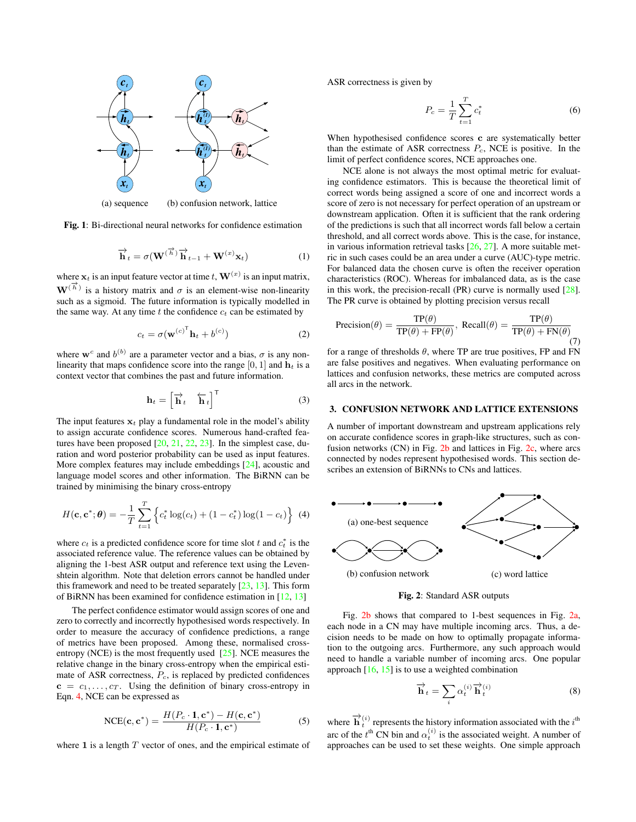<span id="page-1-1"></span>

(a) sequence (b) confusion network, lattice

Fig. 1: Bi-directional neural networks for confidence estimation

$$
\overrightarrow{\mathbf{h}}_{t} = \sigma(\mathbf{W}^{(\overrightarrow{h})}\overrightarrow{\mathbf{h}}_{t-1} + \mathbf{W}^{(x)}\mathbf{x}_{t})
$$
\n(1)

where  $x_t$  is an input feature vector at time  $t$ ,  $\mathbf{W}^{(x)}$  is an input matrix,  $\mathbf{W}^{(\vec{h})}$  is a history matrix and  $\sigma$  is an element-wise non-linearity such as a sigmoid. The future information is typically modelled in the same way. At any time t the confidence  $c_t$  can be estimated by

$$
c_t = \sigma(\mathbf{w}^{(c)}^\mathsf{T} \mathbf{h}_t + b^{(c)}) \tag{2}
$$

where  $w^c$  and  $b^{(b)}$  are a parameter vector and a bias,  $\sigma$  is any nonlinearity that maps confidence score into the range [0, 1] and  $\mathbf{h}_t$  is a context vector that combines the past and future information.

$$
\mathbf{h}_t = \begin{bmatrix} \overrightarrow{\mathbf{h}}_t & \overleftarrow{\mathbf{h}}_t \end{bmatrix}^\mathsf{T}
$$
 (3)

The input features  $x_t$  play a fundamental role in the model's ability to assign accurate confidence scores. Numerous hand-crafted features have been proposed  $[20, 21, 22, 23]$  $[20, 21, 22, 23]$  $[20, 21, 22, 23]$  $[20, 21, 22, 23]$  $[20, 21, 22, 23]$  $[20, 21, 22, 23]$  $[20, 21, 22, 23]$ . In the simplest case, duration and word posterior probability can be used as input features. More complex features may include embeddings [\[24\]](#page-4-23), acoustic and language model scores and other information. The BiRNN can be trained by minimising the binary cross-entropy

$$
H(\mathbf{c}, \mathbf{c}^*; \boldsymbol{\theta}) = -\frac{1}{T} \sum_{t=1}^T \left\{ c_t^* \log(c_t) + (1 - c_t^*) \log(1 - c_t) \right\} (4)
$$

where  $c_t$  is a predicted confidence score for time slot t and  $c_t^*$  is the associated reference value. The reference values can be obtained by aligning the 1-best ASR output and reference text using the Levenshtein algorithm. Note that deletion errors cannot be handled under this framework and need to be treated separately [\[23,](#page-4-22) [13\]](#page-4-12). This form of BiRNN has been examined for confidence estimation in [\[12,](#page-4-11) [13\]](#page-4-12)

The perfect confidence estimator would assign scores of one and zero to correctly and incorrectly hypothesised words respectively. In order to measure the accuracy of confidence predictions, a range of metrics have been proposed. Among these, normalised crossentropy (NCE) is the most frequently used [\[25\]](#page-4-24). NCE measures the relative change in the binary cross-entropy when the empirical estimate of ASR correctness,  $P_c$ , is replaced by predicted confidences  $c = c_1, \ldots, c_T$ . Using the definition of binary cross-entropy in Eqn. [4,](#page-1-2) NCE can be expressed as

$$
NCE(\mathbf{c}, \mathbf{c}^*) = \frac{H(P_c \cdot \mathbf{1}, \mathbf{c}^*) - H(\mathbf{c}, \mathbf{c}^*)}{H(P_c \cdot \mathbf{1}, \mathbf{c}^*)}
$$
(5)

where  $\bf{1}$  is a length  $T$  vector of ones, and the empirical estimate of

ASR correctness is given by

$$
P_c = \frac{1}{T} \sum_{t=1}^{T} c_t^*
$$
\n(6)

When hypothesised confidence scores c are systematically better than the estimate of ASR correctness  $P_c$ , NCE is positive. In the limit of perfect confidence scores, NCE approaches one.

NCE alone is not always the most optimal metric for evaluating confidence estimators. This is because the theoretical limit of correct words being assigned a score of one and incorrect words a score of zero is not necessary for perfect operation of an upstream or downstream application. Often it is sufficient that the rank ordering of the predictions is such that all incorrect words fall below a certain threshold, and all correct words above. This is the case, for instance, in various information retrieval tasks  $[26, 27]$  $[26, 27]$  $[26, 27]$ . A more suitable metric in such cases could be an area under a curve (AUC)-type metric. For balanced data the chosen curve is often the receiver operation characteristics (ROC). Whereas for imbalanced data, as is the case in this work, the precision-recall (PR) curve is normally used  $[28]$ . The PR curve is obtained by plotting precision versus recall

$$
Precision(\theta) = \frac{TP(\theta)}{TP(\theta) + FP(\theta)}, \text{ Recall}(\theta) = \frac{TP(\theta)}{TP(\theta) + FN(\theta)}
$$
(7)

for a range of thresholds  $\theta$ , where TP are true positives, FP and FN are false positives and negatives. When evaluating performance on lattices and confusion networks, these metrics are computed across all arcs in the network.

## <span id="page-1-0"></span>3. CONFUSION NETWORK AND LATTICE EXTENSIONS

A number of important downstream and upstream applications rely on accurate confidence scores in graph-like structures, such as confusion networks (CN) in Fig. [2b](#page-1-3) and lattices in Fig. [2c,](#page-1-3) where arcs connected by nodes represent hypothesised words. This section describes an extension of BiRNNs to CNs and lattices.

<span id="page-1-3"></span><span id="page-1-2"></span>

Fig. 2: Standard ASR outputs

Fig. [2b](#page-1-3) shows that compared to 1-best sequences in Fig. [2a,](#page-1-3) each node in a CN may have multiple incoming arcs. Thus, a decision needs to be made on how to optimally propagate information to the outgoing arcs. Furthermore, any such approach would need to handle a variable number of incoming arcs. One popular approach  $[16, 15]$  $[16, 15]$  $[16, 15]$  is to use a weighted combination

<span id="page-1-4"></span>
$$
\overrightarrow{\mathbf{h}}_{t} = \sum_{i} \alpha_{t}^{(i)} \overrightarrow{\mathbf{h}}_{t}^{(i)}
$$
\n(8)

where  $\overrightarrow{\mathbf{h}}_{t}^{(i)}$  represents the history information associated with the  $i^{\text{th}}$ arc of the  $t^{\text{th}}$  CN bin and  $\alpha_t^{(i)}$  is the associated weight. A number of approaches can be used to set these weights. One simple approach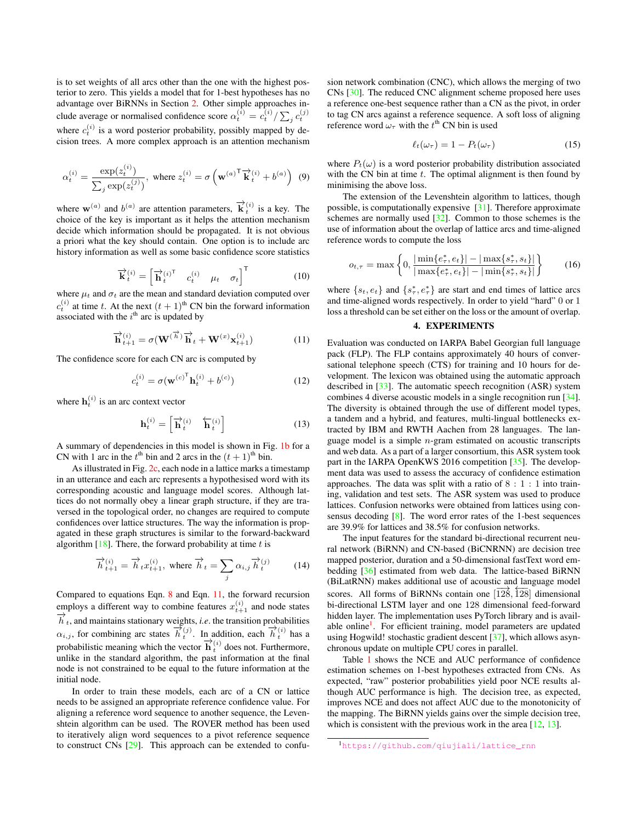is to set weights of all arcs other than the one with the highest posterior to zero. This yields a model that for 1-best hypotheses has no advantage over BiRNNs in Section [2.](#page-0-0) Other simple approaches include average or normalised confidence score  $\alpha_t^{(i)} = c_t^{(i)} / \sum_j c_t^{(j)}$ where  $c_t^{(i)}$  is a word posterior probability, possibly mapped by decision trees. A more complex approach is an attention mechanism

$$
\alpha_t^{(i)} = \frac{\exp(z_t^{(i)})}{\sum_j \exp(z_t^{(j)})}, \text{ where } z_t^{(i)} = \sigma\left(\mathbf{w}^{(a)^\mathsf{T}} \mathbf{\vec{k}}_t^{(i)} + b^{(a)}\right) \tag{9}
$$

where  $\mathbf{w}^{(a)}$  and  $b^{(a)}$  are attention parameters,  $\overrightarrow{k}_{t}^{(i)}$  is a key. The choice of the key is important as it helps the attention mechanism decide which information should be propagated. It is not obvious a priori what the key should contain. One option is to include arc history information as well as some basic confidence score statistics

$$
\overrightarrow{\mathbf{k}}_t^{(i)} = \begin{bmatrix} \overrightarrow{\mathbf{h}}_t^{(i)^\mathsf{T}} & c_t^{(i)} & \mu_t & \sigma_t \end{bmatrix}^\mathsf{T}
$$
 (10)

where  $\mu_t$  and  $\sigma_t$  are the mean and standard deviation computed over  $c_t^{(i)}$  at time t. At the next  $(t + 1)$ <sup>th</sup> CN bin the forward information associated with the  $i^{\text{th}}$  arc is updated by

<span id="page-2-1"></span>
$$
\overrightarrow{\mathbf{h}}_{t+1}^{(i)} = \sigma(\mathbf{W}^{(\overrightarrow{h})}\overrightarrow{\mathbf{h}}_t + \mathbf{W}^{(x)}\mathbf{x}_{t+1}^{(i)})
$$
(11)

The confidence score for each CN arc is computed by

$$
c_t^{(i)} = \sigma(\mathbf{w}^{(c)}^\mathsf{T} \mathbf{h}_t^{(i)} + b^{(c)})
$$
 (12)

where  $\mathbf{h}_t^{(i)}$  is an arc context vector

$$
\mathbf{h}_t^{(i)} = \begin{bmatrix} \overrightarrow{\mathbf{h}}_t^{(i)} & \overleftarrow{\mathbf{h}}_t^{(i)} \end{bmatrix} \tag{13}
$$

A summary of dependencies in this model is shown in Fig. [1b](#page-1-1) for a CN with 1 arc in the  $t^{\text{th}}$  bin and 2 arcs in the  $(t + 1)^{\text{th}}$  bin.

As illustrated in Fig. [2c,](#page-1-3) each node in a lattice marks a timestamp in an utterance and each arc represents a hypothesised word with its corresponding acoustic and language model scores. Although lattices do not normally obey a linear graph structure, if they are traversed in the topological order, no changes are required to compute confidences over lattice structures. The way the information is propagated in these graph structures is similar to the forward-backward algorithm  $[18]$ . There, the forward probability at time t is

$$
\overrightarrow{h}_{t+1}^{(i)} = \overrightarrow{h}_t x_{t+1}^{(i)}, \text{ where } \overrightarrow{h}_t = \sum_j \alpha_{i,j} \overrightarrow{h}_t^{(j)} \tag{14}
$$

Compared to equations Eqn. [8](#page-1-4) and Eqn. [11,](#page-2-1) the forward recursion employs a different way to combine features  $x_{t+1}^{(i)}$  and node states  $\overrightarrow{h}_t$ , and maintains stationary weights, *i.e.* the transition probabilities  $\alpha_{i,j}$ , for combining arc states  $\overrightarrow{h}_{t}^{(j)}$ . In addition, each  $\overrightarrow{h}_{t}^{(i)}$  has a probabilistic meaning which the vector  $\overrightarrow{h}_{t}^{(i)}$  does not. Furthermore, unlike in the standard algorithm, the past information at the final node is not constrained to be equal to the future information at the initial node.

In order to train these models, each arc of a CN or lattice needs to be assigned an appropriate reference confidence value. For aligning a reference word sequence to another sequence, the Levenshtein algorithm can be used. The ROVER method has been used to iteratively align word sequences to a pivot reference sequence to construct CNs [\[29\]](#page-4-28). This approach can be extended to confusion network combination (CNC), which allows the merging of two CNs [\[30\]](#page-4-29). The reduced CNC alignment scheme proposed here uses a reference one-best sequence rather than a CN as the pivot, in order to tag CN arcs against a reference sequence. A soft loss of aligning reference word  $\omega_{\tau}$  with the  $t^{\text{th}}$  CN bin is used

<span id="page-2-2"></span>
$$
\ell_t(\omega_\tau) = 1 - P_t(\omega_\tau) \tag{15}
$$

where  $P_t(\omega)$  is a word posterior probability distribution associated with the CN bin at time  $t$ . The optimal alignment is then found by minimising the above loss.

The extension of the Levenshtein algorithm to lattices, though possible, is computationally expensive [\[31\]](#page-4-30). Therefore approximate schemes are normally used [\[32\]](#page-4-31). Common to those schemes is the use of information about the overlap of lattice arcs and time-aligned reference words to compute the loss

$$
o_{t,\tau} = \max\left\{0, \frac{|\min\{e_{\tau}^*, e_t\}| - |\max\{s_{\tau}^*, s_t\}|}{|\max\{e_{\tau}^*, e_t\}| - |\min\{s_{\tau}^*, s_t\}|}\right\}
$$
(16)

where  $\{s_t, e_t\}$  and  $\{s^*_\tau, e^*_\tau\}$  are start and end times of lattice arcs and time-aligned words respectively. In order to yield "hard" 0 or 1 loss a threshold can be set either on the loss or the amount of overlap.

# 4. EXPERIMENTS

<span id="page-2-0"></span>Evaluation was conducted on IARPA Babel Georgian full language pack (FLP). The FLP contains approximately 40 hours of conversational telephone speech (CTS) for training and 10 hours for development. The lexicon was obtained using the automatic approach described in [\[33\]](#page-4-32). The automatic speech recognition (ASR) system combines 4 diverse acoustic models in a single recognition run [\[34\]](#page-4-33). The diversity is obtained through the use of different model types, a tandem and a hybrid, and features, multi-lingual bottlenecks extracted by IBM and RWTH Aachen from 28 languages. The language model is a simple n-gram estimated on acoustic transcripts and web data. As a part of a larger consortium, this ASR system took part in the IARPA OpenKWS 2016 competition [\[35\]](#page-4-34). The development data was used to assess the accuracy of confidence estimation approaches. The data was split with a ratio of  $8:1:1$  into training, validation and test sets. The ASR system was used to produce lattices. Confusion networks were obtained from lattices using consensus decoding [\[8\]](#page-4-7). The word error rates of the 1-best sequences are 39.9% for lattices and 38.5% for confusion networks.

The input features for the standard bi-directional recurrent neural network (BiRNN) and CN-based (BiCNRNN) are decision tree mapped posterior, duration and a 50-dimensional fastText word embedding [\[36\]](#page-4-35) estimated from web data. The lattice-based BiRNN (BiLatRNN) makes additional use of acoustic and language model scores. All forms of BiRNNs contain one  $\left[128, 128\right]$  dimensional bi-directional LSTM layer and one 128 dimensional feed-forward hidden layer. The implementation uses PyTorch library and is avail-able online<sup>[1](#page-0-1)</sup>. For efficient training, model parameters are updated using Hogwild! stochastic gradient descent [\[37\]](#page-4-36), which allows asynchronous update on multiple CPU cores in parallel.

Table [1](#page-3-1) shows the NCE and AUC performance of confidence estimation schemes on 1-best hypotheses extracted from CNs. As expected, "raw" posterior probabilities yield poor NCE results although AUC performance is high. The decision tree, as expected, improves NCE and does not affect AUC due to the monotonicity of the mapping. The BiRNN yields gains over the simple decision tree, which is consistent with the previous work in the area [\[12,](#page-4-11) [13\]](#page-4-12).

<sup>1</sup>[https://github.com/qiujiali/lattice\\_rnn](https://github.com/qiujiali/lattice_rnn)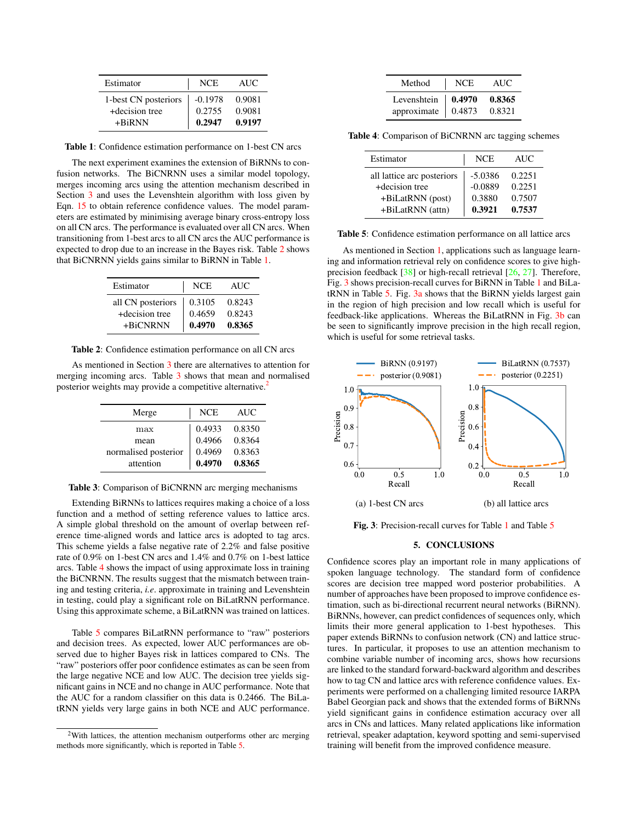<span id="page-3-1"></span>

| Estimator            | NCE.      | AUC.   |
|----------------------|-----------|--------|
| 1-best CN posteriors | $-0.1978$ | 0.9081 |
| +decision tree       | 0.2755    | 0.9081 |
| $+BiRNN$             | 0.2947    | 0.9197 |

Table 1: Confidence estimation performance on 1-best CN arcs

The next experiment examines the extension of BiRNNs to confusion networks. The BiCNRNN uses a similar model topology, merges incoming arcs using the attention mechanism described in Section [3](#page-1-0) and uses the Levenshtein algorithm with loss given by Eqn. [15](#page-2-2) to obtain reference confidence values. The model parameters are estimated by minimising average binary cross-entropy loss on all CN arcs. The performance is evaluated over all CN arcs. When transitioning from 1-best arcs to all CN arcs the AUC performance is expected to drop due to an increase in the Bayes risk. Table [2](#page-3-2) shows that BiCNRNN yields gains similar to BiRNN in Table [1.](#page-3-1)

<span id="page-3-2"></span>

| Estimator         | <b>NCE</b> | AUC.   |
|-------------------|------------|--------|
| all CN posteriors | 0.3105     | 0.8243 |
| +decision tree    | 0.4659     | 0.8243 |
| +BiCNRNN          | 0.4970     | 0.8365 |

Table 2: Confidence estimation performance on all CN arcs

<span id="page-3-3"></span>As mentioned in Section [3](#page-1-0) there are alternatives to attention for merging incoming arcs. Table [3](#page-3-3) shows that mean and normalised posterior weights may provide a competitive alternative.<sup>[2](#page-0-1)</sup>

| Merge                | <b>NCE</b> | <b>AUC</b> |
|----------------------|------------|------------|
| max                  | 0.4933     | 0.8350     |
| mean                 | 0.4966     | 0.8364     |
| normalised posterior | 0.4969     | 0.8363     |
| attention            | 0.4970     | 0.8365     |

Table 3: Comparison of BiCNRNN arc merging mechanisms

Extending BiRNNs to lattices requires making a choice of a loss function and a method of setting reference values to lattice arcs. A simple global threshold on the amount of overlap between reference time-aligned words and lattice arcs is adopted to tag arcs. This scheme yields a false negative rate of 2.2% and false positive rate of 0.9% on 1-best CN arcs and 1.4% and 0.7% on 1-best lattice arcs. Table [4](#page-3-4) shows the impact of using approximate loss in training the BiCNRNN. The results suggest that the mismatch between training and testing criteria, *i.e*. approximate in training and Levenshtein in testing, could play a significant role on BiLatRNN performance. Using this approximate scheme, a BiLatRNN was trained on lattices.

Table [5](#page-3-5) compares BiLatRNN performance to "raw" posteriors and decision trees. As expected, lower AUC performances are observed due to higher Bayes risk in lattices compared to CNs. The "raw" posteriors offer poor confidence estimates as can be seen from the large negative NCE and low AUC. The decision tree yields significant gains in NCE and no change in AUC performance. Note that the AUC for a random classifier on this data is 0.2466. The BiLatRNN yields very large gains in both NCE and AUC performance.

<span id="page-3-4"></span>

| Method      | NCE.   | AUC.   |
|-------------|--------|--------|
| Levenshtein | 0.4970 | 0.8365 |
| approximate | 0.4873 | 0.8321 |

<span id="page-3-5"></span>Table 4: Comparison of BiCNRNN arc tagging schemes

| Estimator                  | <b>NCE</b> | <b>AUC</b> |
|----------------------------|------------|------------|
| all lattice arc posteriors | $-5.0386$  | 0.2251     |
| +decision tree             | $-0.0889$  | 0.2251     |
| +BiLatRNN (post)           | 0.3880     | 0.7507     |
| +BiLatRNN (attn)           | 0.3921     | 0.7537     |

Table 5: Confidence estimation performance on all lattice arcs

As mentioned in Section [1,](#page-0-2) applications such as language learning and information retrieval rely on confidence scores to give highprecision feedback [\[38\]](#page-4-37) or high-recall retrieval [\[26,](#page-4-25) [27\]](#page-4-26). Therefore, Fig. [3](#page-3-6) shows precision-recall curves for BiRNN in Table [1](#page-3-1) and BiLatRNN in Table [5.](#page-3-5) Fig. [3a](#page-3-6) shows that the BiRNN yields largest gain in the region of high precision and low recall which is useful for feedback-like applications. Whereas the BiLatRNN in Fig. [3b](#page-3-6) can be seen to significantly improve precision in the high recall region, which is useful for some retrieval tasks.

<span id="page-3-6"></span>

Fig. 3: Precision-recall curves for Table [1](#page-3-1) and Table [5](#page-3-5)

#### 5. CONCLUSIONS

<span id="page-3-0"></span>Confidence scores play an important role in many applications of spoken language technology. The standard form of confidence scores are decision tree mapped word posterior probabilities. A number of approaches have been proposed to improve confidence estimation, such as bi-directional recurrent neural networks (BiRNN). BiRNNs, however, can predict confidences of sequences only, which limits their more general application to 1-best hypotheses. This paper extends BiRNNs to confusion network (CN) and lattice structures. In particular, it proposes to use an attention mechanism to combine variable number of incoming arcs, shows how recursions are linked to the standard forward-backward algorithm and describes how to tag CN and lattice arcs with reference confidence values. Experiments were performed on a challenging limited resource IARPA Babel Georgian pack and shows that the extended forms of BiRNNs yield significant gains in confidence estimation accuracy over all arcs in CNs and lattices. Many related applications like information retrieval, speaker adaptation, keyword spotting and semi-supervised training will benefit from the improved confidence measure.

<sup>&</sup>lt;sup>2</sup>With lattices, the attention mechanism outperforms other arc merging methods more significantly, which is reported in Table [5.](#page-3-5)